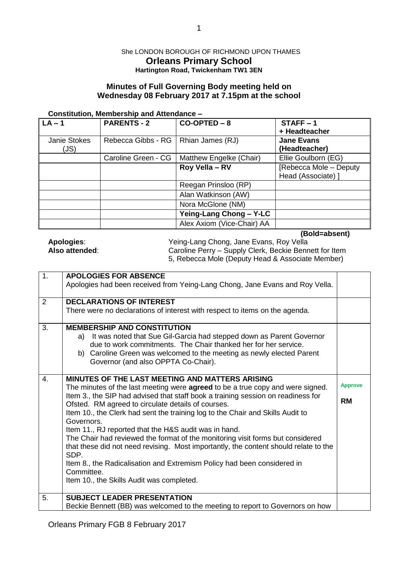### She LONDON BOROUGH OF RICHMOND UPON THAMES **Orleans Primary School Hartington Road, Twickenham TW1 3EN**

# **Minutes of Full Governing Body meeting held on Wednesday 08 February 2017 at 7.15pm at the school**

#### **Constitution, Membership and Attendance –**

| $\overline{\mathsf{LA}}$ – 1 | <b>PARENTS - 2</b>  | $CO-OPTED - 8$             | $STATE - 1$<br>+ Headteacher                 |
|------------------------------|---------------------|----------------------------|----------------------------------------------|
| Janie Stokes<br>(JS)         | Rebecca Gibbs - RG  | Rhian James (RJ)           | <b>Jane Evans</b><br>(Headteacher)           |
|                              | Caroline Green - CG | Matthew Engelke (Chair)    | Ellie Goulborn (EG)                          |
|                              |                     | Roy Vella - RV             | [Rebecca Mole - Deputy<br>Head (Associate) ] |
|                              |                     | Reegan Prinsloo (RP)       |                                              |
|                              |                     | Alan Watkinson (AW)        |                                              |
|                              |                     | Nora McGlone (NM)          |                                              |
|                              |                     | Yeing-Lang Chong - Y-LC    |                                              |
|                              |                     | Alex Axiom (Vice-Chair) AA |                                              |

**(Bold=absent)**

| Apologies:    |  |
|---------------|--|
| Also attended |  |

**Apologies**: Yeing-Lang Chong, Jane Evans, Roy Vella **Also attended**: Caroline Perry – Supply Clerk, Beckie Bennett for Item 5, Rebecca Mole (Deputy Head & Associate Member)

| 1. | <b>APOLOGIES FOR ABSENCE</b>                                                          |                |
|----|---------------------------------------------------------------------------------------|----------------|
|    | Apologies had been received from Yeing-Lang Chong, Jane Evans and Roy Vella.          |                |
| 2  | <b>DECLARATIONS OF INTEREST</b>                                                       |                |
|    | There were no declarations of interest with respect to items on the agenda.           |                |
| 3. | <b>MEMBERSHIP AND CONSTITUTION</b>                                                    |                |
|    | It was noted that Sue Gil-Garcia had stepped down as Parent Governor<br>a)            |                |
|    | due to work commitments. The Chair thanked her for her service.                       |                |
|    | b) Caroline Green was welcomed to the meeting as newly elected Parent                 |                |
|    | Governor (and also OPPTA Co-Chair).                                                   |                |
| 4. | MINUTES OF THE LAST MEETING AND MATTERS ARISING                                       |                |
|    | The minutes of the last meeting were <b>agreed</b> to be a true copy and were signed. | <b>Approve</b> |
|    | Item 3., the SIP had advised that staff book a training session on readiness for      |                |
|    | Ofsted. RM agreed to circulate details of courses.                                    | <b>RM</b>      |
|    | Item 10., the Clerk had sent the training log to the Chair and Skills Audit to        |                |
|    | Governors.                                                                            |                |
|    | Item 11., RJ reported that the H&S audit was in hand.                                 |                |
|    | The Chair had reviewed the format of the monitoring visit forms but considered        |                |
|    | that these did not need revising. Most importantly, the content should relate to the  |                |
|    | SDP.<br>Item 8., the Radicalisation and Extremism Policy had been considered in       |                |
|    | Committee.                                                                            |                |
|    | Item 10., the Skills Audit was completed.                                             |                |
|    |                                                                                       |                |
| 5. | <b>SUBJECT LEADER PRESENTATION</b>                                                    |                |
|    | Beckie Bennett (BB) was welcomed to the meeting to report to Governors on how         |                |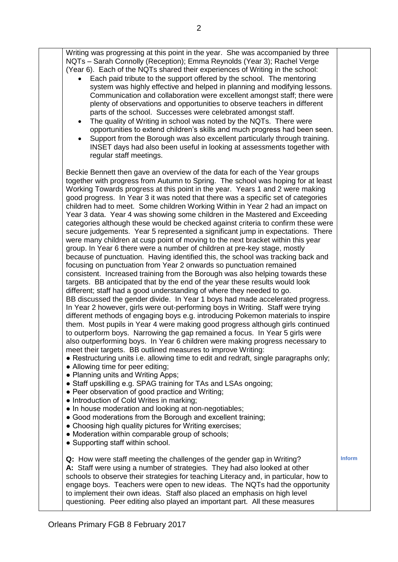| Writing was progressing at this point in the year. She was accompanied by three<br>NQTs - Sarah Connolly (Reception); Emma Reynolds (Year 3); Rachel Verge<br>(Year 6). Each of the NQTs shared their experiences of Writing in the school:<br>Each paid tribute to the support offered by the school. The mentoring<br>system was highly effective and helped in planning and modifying lessons.<br>Communication and collaboration were excellent amongst staff; there were<br>plenty of observations and opportunities to observe teachers in different<br>parts of the school. Successes were celebrated amongst staff.<br>The quality of Writing in school was noted by the NQTs. There were<br>opportunities to extend children's skills and much progress had been seen.<br>Support from the Borough was also excellent particularly through training.<br>INSET days had also been useful in looking at assessments together with<br>regular staff meetings.                                                                                                                                                                                                                                                                                                                                                                                                                                                                                                                                                                                                                                                                                                                                                                                                                                                                                                                                                                                                                                                                                                                                                                                                                                                                                                                                                                                                                                            |               |
|----------------------------------------------------------------------------------------------------------------------------------------------------------------------------------------------------------------------------------------------------------------------------------------------------------------------------------------------------------------------------------------------------------------------------------------------------------------------------------------------------------------------------------------------------------------------------------------------------------------------------------------------------------------------------------------------------------------------------------------------------------------------------------------------------------------------------------------------------------------------------------------------------------------------------------------------------------------------------------------------------------------------------------------------------------------------------------------------------------------------------------------------------------------------------------------------------------------------------------------------------------------------------------------------------------------------------------------------------------------------------------------------------------------------------------------------------------------------------------------------------------------------------------------------------------------------------------------------------------------------------------------------------------------------------------------------------------------------------------------------------------------------------------------------------------------------------------------------------------------------------------------------------------------------------------------------------------------------------------------------------------------------------------------------------------------------------------------------------------------------------------------------------------------------------------------------------------------------------------------------------------------------------------------------------------------------------------------------------------------------------------------------------------------|---------------|
| Beckie Bennett then gave an overview of the data for each of the Year groups<br>together with progress from Autumn to Spring. The school was hoping for at least<br>Working Towards progress at this point in the year. Years 1 and 2 were making<br>good progress. In Year 3 it was noted that there was a specific set of categories<br>children had to meet. Some children Working Within in Year 2 had an impact on<br>Year 3 data. Year 4 was showing some children in the Mastered and Exceeding<br>categories although these would be checked against criteria to confirm these were<br>secure judgements. Year 5 represented a significant jump in expectations. There<br>were many children at cusp point of moving to the next bracket within this year<br>group. In Year 6 there were a number of children at pre-key stage, mostly<br>because of punctuation. Having identified this, the school was tracking back and<br>focusing on punctuation from Year 2 onwards so punctuation remained<br>consistent. Increased training from the Borough was also helping towards these<br>targets. BB anticipated that by the end of the year these results would look<br>different; staff had a good understanding of where they needed to go.<br>BB discussed the gender divide. In Year 1 boys had made accelerated progress.<br>In Year 2 however, girls were out-performing boys in Writing. Staff were trying<br>different methods of engaging boys e.g. introducing Pokemon materials to inspire<br>them. Most pupils in Year 4 were making good progress although girls continued<br>to outperform boys. Narrowing the gap remained a focus. In Year 5 girls were<br>also outperforming boys. In Year 6 children were making progress necessary to<br>meet their targets. BB outlined measures to improve Writing:<br>• Restructuring units i.e. allowing time to edit and redraft, single paragraphs only;<br>• Allowing time for peer editing;<br>• Planning units and Writing Apps;<br>• Staff upskilling e.g. SPAG training for TAs and LSAs ongoing;<br>• Peer observation of good practice and Writing;<br>• Introduction of Cold Writes in marking;<br>• In house moderation and looking at non-negotiables;<br>• Good moderations from the Borough and excellent training;<br>• Choosing high quality pictures for Writing exercises;<br>• Moderation within comparable group of schools; |               |
| • Supporting staff within school.                                                                                                                                                                                                                                                                                                                                                                                                                                                                                                                                                                                                                                                                                                                                                                                                                                                                                                                                                                                                                                                                                                                                                                                                                                                                                                                                                                                                                                                                                                                                                                                                                                                                                                                                                                                                                                                                                                                                                                                                                                                                                                                                                                                                                                                                                                                                                                              | <b>Inform</b> |
| <b>Q:</b> How were staff meeting the challenges of the gender gap in Writing?<br>A: Staff were using a number of strategies. They had also looked at other<br>schools to observe their strategies for teaching Literacy and, in particular, how to<br>engage boys. Teachers were open to new ideas. The NQTs had the opportunity<br>to implement their own ideas. Staff also placed an emphasis on high level<br>questioning. Peer editing also played an important part. All these measures                                                                                                                                                                                                                                                                                                                                                                                                                                                                                                                                                                                                                                                                                                                                                                                                                                                                                                                                                                                                                                                                                                                                                                                                                                                                                                                                                                                                                                                                                                                                                                                                                                                                                                                                                                                                                                                                                                                   |               |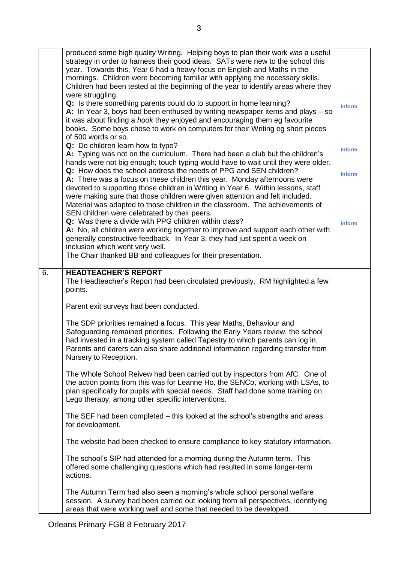|    | produced some high quality Writing. Helping boys to plan their work was a useful<br>strategy in order to harness their good ideas. SATs were new to the school this<br>year. Towards this, Year 6 had a heavy focus on English and Maths in the<br>mornings. Children were becoming familiar with applying the necessary skills.<br>Children had been tested at the beginning of the year to identify areas where they<br>were struggling.<br>Q: Is there something parents could do to support in home learning?<br>A: In Year 3, boys had been enthused by writing newspaper items and plays $-$ so<br>it was about finding a hook they enjoyed and encouraging them eg favourite<br>books. Some boys chose to work on computers for their Writing eg short pieces | <b>Inform</b>                  |
|----|----------------------------------------------------------------------------------------------------------------------------------------------------------------------------------------------------------------------------------------------------------------------------------------------------------------------------------------------------------------------------------------------------------------------------------------------------------------------------------------------------------------------------------------------------------------------------------------------------------------------------------------------------------------------------------------------------------------------------------------------------------------------|--------------------------------|
|    | of 500 words or so.<br>Q: Do children learn how to type?<br>A: Typing was not on the curriculum. There had been a club but the children's<br>hands were not big enough; touch typing would have to wait until they were older.<br>Q: How does the school address the needs of PPG and SEN children?                                                                                                                                                                                                                                                                                                                                                                                                                                                                  | <b>Inform</b><br><b>Inform</b> |
|    | A: There was a focus on these children this year. Monday afternoons were<br>devoted to supporting those children in Writing in Year 6. Within lessons, staff<br>were making sure that those children were given attention and felt included.<br>Material was adapted to those children in the classroom. The achievements of<br>SEN children were celebrated by their peers.<br>Q: Was there a divide with PPG children within class?<br>A: No, all children were working together to improve and support each other with<br>generally constructive feedback. In Year 3, they had just spent a week on<br>inclusion which went very well.<br>The Chair thanked BB and colleagues for their presentation.                                                             | <b>Inform</b>                  |
| 6. | <b>HEADTEACHER'S REPORT</b><br>The Headteacher's Report had been circulated previously. RM highlighted a few<br>points.                                                                                                                                                                                                                                                                                                                                                                                                                                                                                                                                                                                                                                              |                                |
|    | Parent exit surveys had been conducted.                                                                                                                                                                                                                                                                                                                                                                                                                                                                                                                                                                                                                                                                                                                              |                                |
|    | The SDP priorities remained a focus. This year Maths, Behaviour and<br>Safeguarding remained priorities. Following the Early Years review, the school<br>had invested in a tracking system called Tapestry to which parents can log in.<br>Parents and carers can also share additional information regarding transfer from<br>Nursery to Reception.                                                                                                                                                                                                                                                                                                                                                                                                                 |                                |
|    | The Whole School Reivew had been carried out by inspectors from AfC. One of<br>the action points from this was for Leanne Ho, the SENCo, working with LSAs, to<br>plan specifically for pupils with special needs. Staff had done some training on<br>Lego therapy, among other specific interventions.                                                                                                                                                                                                                                                                                                                                                                                                                                                              |                                |
|    | The SEF had been completed – this looked at the school's strengths and areas<br>for development.                                                                                                                                                                                                                                                                                                                                                                                                                                                                                                                                                                                                                                                                     |                                |
|    | The website had been checked to ensure compliance to key statutory information.                                                                                                                                                                                                                                                                                                                                                                                                                                                                                                                                                                                                                                                                                      |                                |
|    | The school's SIP had attended for a morning during the Autumn term. This<br>offered some challenging questions which had resulted in some longer-term<br>actions.                                                                                                                                                                                                                                                                                                                                                                                                                                                                                                                                                                                                    |                                |
|    | The Autumn Term had also seen a morning's whole school personal welfare<br>session. A survey had been carried out looking from all perspectives, identifying<br>areas that were working well and some that needed to be developed.                                                                                                                                                                                                                                                                                                                                                                                                                                                                                                                                   |                                |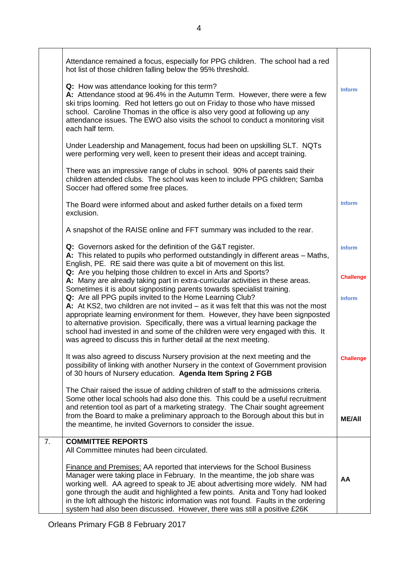|    | Attendance remained a focus, especially for PPG children. The school had a red<br>hot list of those children falling below the 95% threshold.                                                                                                                                                                                                                                                                                                                                                                                                            |                  |
|----|----------------------------------------------------------------------------------------------------------------------------------------------------------------------------------------------------------------------------------------------------------------------------------------------------------------------------------------------------------------------------------------------------------------------------------------------------------------------------------------------------------------------------------------------------------|------------------|
|    | Q: How was attendance looking for this term?<br>A: Attendance stood at 96.4% in the Autumn Term. However, there were a few<br>ski trips looming. Red hot letters go out on Friday to those who have missed<br>school. Caroline Thomas in the office is also very good at following up any<br>attendance issues. The EWO also visits the school to conduct a monitoring visit<br>each half term.                                                                                                                                                          | <b>Inform</b>    |
|    | Under Leadership and Management, focus had been on upskilling SLT. NQTs<br>were performing very well, keen to present their ideas and accept training.                                                                                                                                                                                                                                                                                                                                                                                                   |                  |
|    | There was an impressive range of clubs in school. 90% of parents said their<br>children attended clubs. The school was keen to include PPG children; Samba<br>Soccer had offered some free places.                                                                                                                                                                                                                                                                                                                                                       |                  |
|    | The Board were informed about and asked further details on a fixed term<br>exclusion.                                                                                                                                                                                                                                                                                                                                                                                                                                                                    | <b>Inform</b>    |
|    | A snapshot of the RAISE online and FFT summary was included to the rear.                                                                                                                                                                                                                                                                                                                                                                                                                                                                                 |                  |
|    | Q: Governors asked for the definition of the G&T register.<br>A: This related to pupils who performed outstandingly in different areas - Maths,<br>English, PE. RE said there was quite a bit of movement on this list.                                                                                                                                                                                                                                                                                                                                  | <b>Inform</b>    |
|    | Q: Are you helping those children to excel in Arts and Sports?<br>A: Many are already taking part in extra-curricular activities in these areas.                                                                                                                                                                                                                                                                                                                                                                                                         | <b>Challenge</b> |
|    | Sometimes it is about signposting parents towards specialist training.<br>Q: Are all PPG pupils invited to the Home Learning Club?<br>A: At KS2, two children are not invited $-$ as it was felt that this was not the most<br>appropriate learning environment for them. However, they have been signposted<br>to alternative provision. Specifically, there was a virtual learning package the<br>school had invested in and some of the children were very engaged with this. It<br>was agreed to discuss this in further detail at the next meeting. | <b>Inform</b>    |
|    | It was also agreed to discuss Nursery provision at the next meeting and the<br>possibility of linking with another Nursery in the context of Government provision<br>of 30 hours of Nursery education. Agenda Item Spring 2 FGB                                                                                                                                                                                                                                                                                                                          | <b>Challenge</b> |
|    | The Chair raised the issue of adding children of staff to the admissions criteria.<br>Some other local schools had also done this. This could be a useful recruitment<br>and retention tool as part of a marketing strategy. The Chair sought agreement<br>from the Board to make a preliminary approach to the Borough about this but in<br>the meantime, he invited Governors to consider the issue.                                                                                                                                                   | <b>ME/AII</b>    |
| 7. | <b>COMMITTEE REPORTS</b><br>All Committee minutes had been circulated.                                                                                                                                                                                                                                                                                                                                                                                                                                                                                   |                  |
|    | <b>Finance and Premises: AA reported that interviews for the School Business</b><br>Manager were taking place in February. In the meantime, the job share was<br>working well. AA agreed to speak to JE about advertising more widely. NM had<br>gone through the audit and highlighted a few points. Anita and Tony had looked<br>in the loft although the historic information was not found. Faults in the ordering<br>system had also been discussed. However, there was still a positive £26K                                                       | AA               |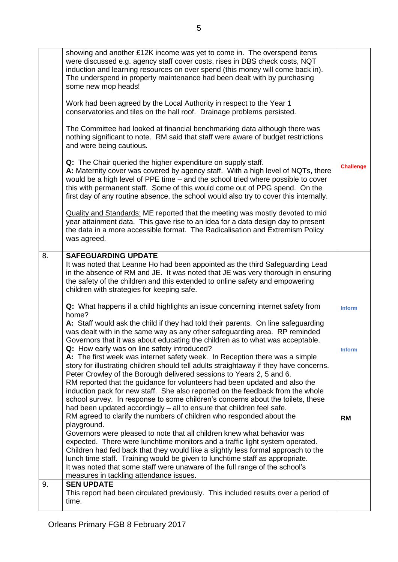|    | showing and another £12K income was yet to come in. The overspend items<br>were discussed e.g. agency staff cover costs, rises in DBS check costs, NQT<br>induction and learning resources on over spend (this money will come back in).<br>The underspend in property maintenance had been dealt with by purchasing<br>some new mop heads!<br>Work had been agreed by the Local Authority in respect to the Year 1<br>conservatories and tiles on the hall roof. Drainage problems persisted.<br>The Committee had looked at financial benchmarking data although there was<br>nothing significant to note. RM said that staff were aware of budget restrictions<br>and were being cautious.<br>Q: The Chair queried the higher expenditure on supply staff.<br>A: Maternity cover was covered by agency staff. With a high level of NQTs, there<br>would be a high level of PPE time – and the school tried where possible to cover<br>this with permanent staff. Some of this would come out of PPG spend. On the<br>first day of any routine absence, the school would also try to cover this internally.<br><b>Quality and Standards: ME reported that the meeting was mostly devoted to mid</b><br>year attainment data. This gave rise to an idea for a data design day to present<br>the data in a more accessible format. The Radicalisation and Extremism Policy<br>was agreed.                                     | <b>Challenge</b>           |
|----|-------------------------------------------------------------------------------------------------------------------------------------------------------------------------------------------------------------------------------------------------------------------------------------------------------------------------------------------------------------------------------------------------------------------------------------------------------------------------------------------------------------------------------------------------------------------------------------------------------------------------------------------------------------------------------------------------------------------------------------------------------------------------------------------------------------------------------------------------------------------------------------------------------------------------------------------------------------------------------------------------------------------------------------------------------------------------------------------------------------------------------------------------------------------------------------------------------------------------------------------------------------------------------------------------------------------------------------------------------------------------------------------------------------------------------|----------------------------|
| 8. | <b>SAFEGUARDING UPDATE</b><br>It was noted that Leanne Ho had been appointed as the third Safeguarding Lead<br>in the absence of RM and JE. It was noted that JE was very thorough in ensuring<br>the safety of the children and this extended to online safety and empowering<br>children with strategies for keeping safe.                                                                                                                                                                                                                                                                                                                                                                                                                                                                                                                                                                                                                                                                                                                                                                                                                                                                                                                                                                                                                                                                                                  |                            |
|    | Q: What happens if a child highlights an issue concerning internet safety from<br>home?                                                                                                                                                                                                                                                                                                                                                                                                                                                                                                                                                                                                                                                                                                                                                                                                                                                                                                                                                                                                                                                                                                                                                                                                                                                                                                                                       | <b>Inform</b>              |
|    | A: Staff would ask the child if they had told their parents. On line safeguarding<br>was dealt with in the same way as any other safeguarding area. RP reminded<br>Governors that it was about educating the children as to what was acceptable.<br>Q: How early was on line safety introduced?<br>A: The first week was internet safety week. In Reception there was a simple<br>story for illustrating children should tell adults straightaway if they have concerns.<br>Peter Crowley of the Borough delivered sessions to Years 2, 5 and 6.<br>RM reported that the guidance for volunteers had been updated and also the<br>induction pack for new staff. She also reported on the feedback from the whole<br>school survey. In response to some children's concerns about the toilets, these<br>had been updated accordingly - all to ensure that children feel safe.<br>RM agreed to clarify the numbers of children who responded about the<br>playground.<br>Governors were pleased to note that all children knew what behavior was<br>expected. There were lunchtime monitors and a traffic light system operated.<br>Children had fed back that they would like a slightly less formal approach to the<br>lunch time staff. Training would be given to lunchtime staff as appropriate.<br>It was noted that some staff were unaware of the full range of the school's<br>measures in tackling attendance issues. | <b>Inform</b><br><b>RM</b> |
| 9. | <b>SEN UPDATE</b><br>This report had been circulated previously. This included results over a period of<br>time.                                                                                                                                                                                                                                                                                                                                                                                                                                                                                                                                                                                                                                                                                                                                                                                                                                                                                                                                                                                                                                                                                                                                                                                                                                                                                                              |                            |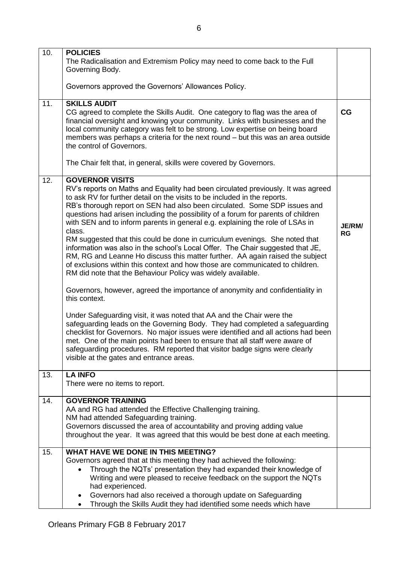| 10. | <b>POLICIES</b>                                                                                                                                                                                                                                                                                                                                                                                                                                                                                                                                                                                                                                                                                                                                                                                                                                                                                                                         |                     |
|-----|-----------------------------------------------------------------------------------------------------------------------------------------------------------------------------------------------------------------------------------------------------------------------------------------------------------------------------------------------------------------------------------------------------------------------------------------------------------------------------------------------------------------------------------------------------------------------------------------------------------------------------------------------------------------------------------------------------------------------------------------------------------------------------------------------------------------------------------------------------------------------------------------------------------------------------------------|---------------------|
|     | The Radicalisation and Extremism Policy may need to come back to the Full<br>Governing Body.                                                                                                                                                                                                                                                                                                                                                                                                                                                                                                                                                                                                                                                                                                                                                                                                                                            |                     |
|     | Governors approved the Governors' Allowances Policy.                                                                                                                                                                                                                                                                                                                                                                                                                                                                                                                                                                                                                                                                                                                                                                                                                                                                                    |                     |
| 11. | <b>SKILLS AUDIT</b><br>CG agreed to complete the Skills Audit. One category to flag was the area of<br>financial oversight and knowing your community. Links with businesses and the<br>local community category was felt to be strong. Low expertise on being board<br>members was perhaps a criteria for the next round - but this was an area outside<br>the control of Governors.<br>The Chair felt that, in general, skills were covered by Governors.                                                                                                                                                                                                                                                                                                                                                                                                                                                                             | CG                  |
|     |                                                                                                                                                                                                                                                                                                                                                                                                                                                                                                                                                                                                                                                                                                                                                                                                                                                                                                                                         |                     |
| 12. | <b>GOVERNOR VISITS</b><br>RV's reports on Maths and Equality had been circulated previously. It was agreed<br>to ask RV for further detail on the visits to be included in the reports.<br>RB's thorough report on SEN had also been circulated. Some SDP issues and<br>questions had arisen including the possibility of a forum for parents of children<br>with SEN and to inform parents in general e.g. explaining the role of LSAs in<br>class.<br>RM suggested that this could be done in curriculum evenings. She noted that<br>information was also in the school's Local Offer. The Chair suggested that JE,<br>RM, RG and Leanne Ho discuss this matter further. AA again raised the subject<br>of exclusions within this context and how those are communicated to children.<br>RM did note that the Behaviour Policy was widely available.<br>Governors, however, agreed the importance of anonymity and confidentiality in | JE/RM/<br><b>RG</b> |
|     | this context.                                                                                                                                                                                                                                                                                                                                                                                                                                                                                                                                                                                                                                                                                                                                                                                                                                                                                                                           |                     |
|     | Under Safeguarding visit, it was noted that AA and the Chair were the<br>safeguarding leads on the Governing Body. They had completed a safeguarding<br>checklist for Governors. No major issues were identified and all actions had been<br>met. One of the main points had been to ensure that all staff were aware of<br>safeguarding procedures. RM reported that visitor badge signs were clearly<br>visible at the gates and entrance areas.                                                                                                                                                                                                                                                                                                                                                                                                                                                                                      |                     |
| 13. | <b>LA INFO</b><br>There were no items to report.                                                                                                                                                                                                                                                                                                                                                                                                                                                                                                                                                                                                                                                                                                                                                                                                                                                                                        |                     |
| 14. | <b>GOVERNOR TRAINING</b><br>AA and RG had attended the Effective Challenging training.<br>NM had attended Safeguarding training.<br>Governors discussed the area of accountability and proving adding value<br>throughout the year. It was agreed that this would be best done at each meeting.                                                                                                                                                                                                                                                                                                                                                                                                                                                                                                                                                                                                                                         |                     |
| 15. | <b>WHAT HAVE WE DONE IN THIS MEETING?</b><br>Governors agreed that at this meeting they had achieved the following:<br>Through the NQTs' presentation they had expanded their knowledge of<br>$\bullet$<br>Writing and were pleased to receive feedback on the support the NQTs<br>had experienced.<br>Governors had also received a thorough update on Safeguarding<br>٠<br>Through the Skills Audit they had identified some needs which have                                                                                                                                                                                                                                                                                                                                                                                                                                                                                         |                     |